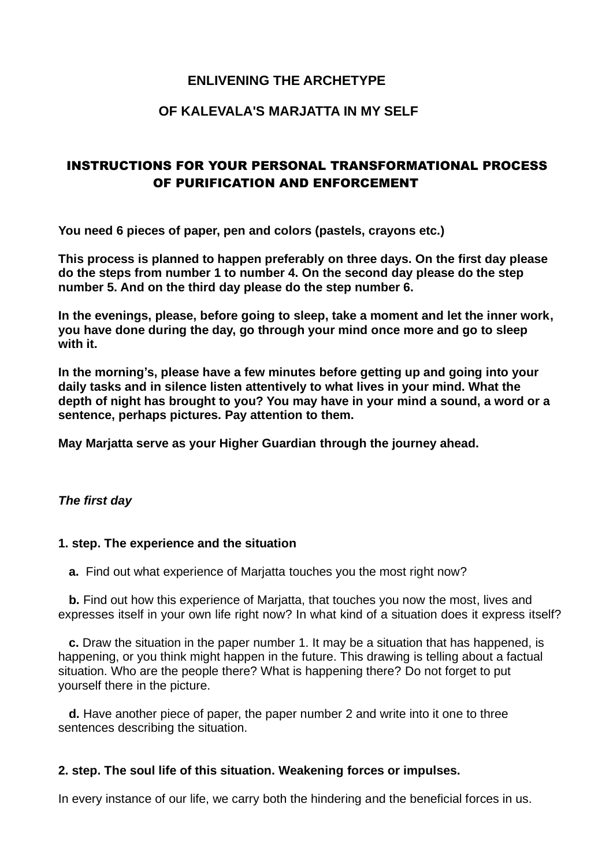## **ENLIVENING THE ARCHETYPE**

### **OF KALEVALA'S MARJATTA IN MY SELF**

# INSTRUCTIONS FOR YOUR PERSONAL TRANSFORMATIONAL PROCESS OF PURIFICATION AND ENFORCEMENT

**You need 6 pieces of paper, pen and colors (pastels, crayons etc.)**

**This process is planned to happen preferably on three days. On the first day please do the steps from number 1 to number 4. On the second day please do the step number 5. And on the third day please do the step number 6.**

**In the evenings, please, before going to sleep, take a moment and let the inner work, you have done during the day, go through your mind once more and go to sleep with it.**

**In the morning's, please have a few minutes before getting up and going into your daily tasks and in silence listen attentively to what lives in your mind. What the depth of night has brought to you? You may have in your mind a sound, a word or a sentence, perhaps pictures. Pay attention to them.**

**May Marjatta serve as your Higher Guardian through the journey ahead.**

#### *The first day*

#### **1. step. The experience and the situation**

**a.** Find out what experience of Marjatta touches you the most right now?

 **b.** Find out how this experience of Marjatta, that touches you now the most, lives and expresses itself in your own life right now? In what kind of a situation does it express itself?

 **c.** Draw the situation in the paper number 1. It may be a situation that has happened, is happening, or you think might happen in the future. This drawing is telling about a factual situation. Who are the people there? What is happening there? Do not forget to put yourself there in the picture.

 **d.** Have another piece of paper, the paper number 2 and write into it one to three sentences describing the situation.

#### **2. step. The soul life of this situation. Weakening forces or impulses.**

In every instance of our life, we carry both the hindering and the beneficial forces in us.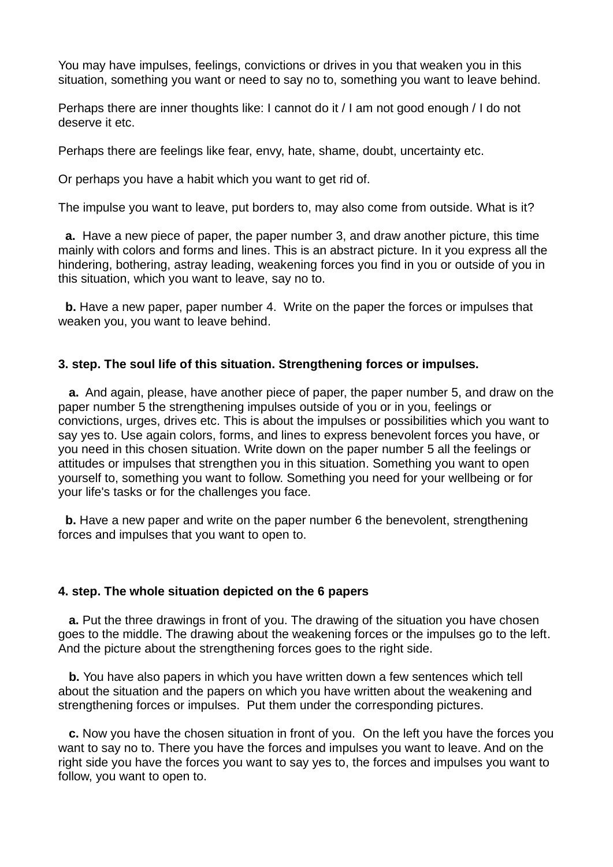You may have impulses, feelings, convictions or drives in you that weaken you in this situation, something you want or need to say no to, something you want to leave behind.

Perhaps there are inner thoughts like: I cannot do it / I am not good enough / I do not deserve it etc.

Perhaps there are feelings like fear, envy, hate, shame, doubt, uncertainty etc.

Or perhaps you have a habit which you want to get rid of.

The impulse you want to leave, put borders to, may also come from outside. What is it?

 **a.** Have a new piece of paper, the paper number 3, and draw another picture, this time mainly with colors and forms and lines. This is an abstract picture. In it you express all the hindering, bothering, astray leading, weakening forces you find in you or outside of you in this situation, which you want to leave, say no to.

 **b.** Have a new paper, paper number 4. Write on the paper the forces or impulses that weaken you, you want to leave behind.

#### **3. step. The soul life of this situation. Strengthening forces or impulses.**

 **a.** And again, please, have another piece of paper, the paper number 5, and draw on the paper number 5 the strengthening impulses outside of you or in you, feelings or convictions, urges, drives etc. This is about the impulses or possibilities which you want to say yes to. Use again colors, forms, and lines to express benevolent forces you have, or you need in this chosen situation. Write down on the paper number 5 all the feelings or attitudes or impulses that strengthen you in this situation. Something you want to open yourself to, something you want to follow. Something you need for your wellbeing or for your life's tasks or for the challenges you face.

**b.** Have a new paper and write on the paper number 6 the benevolent, strengthening forces and impulses that you want to open to.

#### **4. step. The whole situation depicted on the 6 papers**

 **a.** Put the three drawings in front of you. The drawing of the situation you have chosen goes to the middle. The drawing about the weakening forces or the impulses go to the left. And the picture about the strengthening forces goes to the right side.

 **b.** You have also papers in which you have written down a few sentences which tell about the situation and the papers on which you have written about the weakening and strengthening forces or impulses. Put them under the corresponding pictures.

 **c.** Now you have the chosen situation in front of you. On the left you have the forces you want to say no to. There you have the forces and impulses you want to leave. And on the right side you have the forces you want to say yes to, the forces and impulses you want to follow, you want to open to.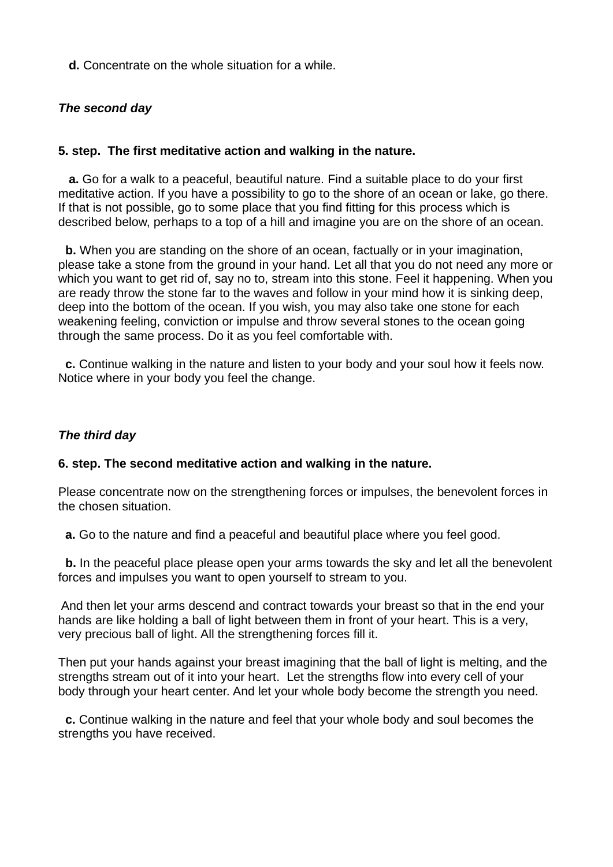**d.** Concentrate on the whole situation for a while.

### *The second day*

### **5. step. The first meditative action and walking in the nature.**

 **a.** Go for a walk to a peaceful, beautiful nature. Find a suitable place to do your first meditative action. If you have a possibility to go to the shore of an ocean or lake, go there. If that is not possible, go to some place that you find fitting for this process which is described below, perhaps to a top of a hill and imagine you are on the shore of an ocean.

**b.** When you are standing on the shore of an ocean, factually or in your imagination, please take a stone from the ground in your hand. Let all that you do not need any more or which you want to get rid of, say no to, stream into this stone. Feel it happening. When you are ready throw the stone far to the waves and follow in your mind how it is sinking deep, deep into the bottom of the ocean. If you wish, you may also take one stone for each weakening feeling, conviction or impulse and throw several stones to the ocean going through the same process. Do it as you feel comfortable with.

**c.** Continue walking in the nature and listen to your body and your soul how it feels now. Notice where in your body you feel the change.

#### *The third day*

#### **6. step. The second meditative action and walking in the nature.**

Please concentrate now on the strengthening forces or impulses, the benevolent forces in the chosen situation.

**a.** Go to the nature and find a peaceful and beautiful place where you feel good.

**b.** In the peaceful place please open your arms towards the sky and let all the benevolent forces and impulses you want to open yourself to stream to you.

And then let your arms descend and contract towards your breast so that in the end your hands are like holding a ball of light between them in front of your heart. This is a very, very precious ball of light. All the strengthening forces fill it.

Then put your hands against your breast imagining that the ball of light is melting, and the strengths stream out of it into your heart. Let the strengths flow into every cell of your body through your heart center. And let your whole body become the strength you need.

**c.** Continue walking in the nature and feel that your whole body and soul becomes the strengths you have received.